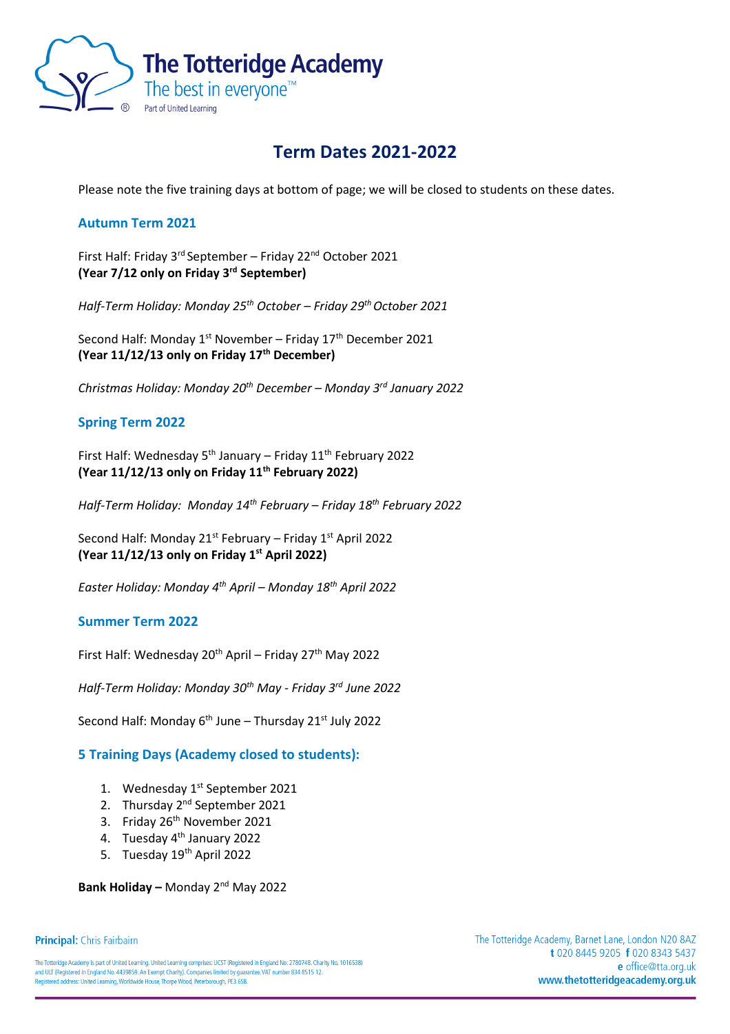

# **Term Dates 2021-2022**

Please note the five training days at bottom of page; we will be closed to students on these dates.

# **Autumn Term 2021**

First Half: Friday 3<sup>rd</sup> September - Friday 22<sup>nd</sup> October 2021 **(Year 7/12 only on Friday 3rd September)**

*Half-Term Holiday: Monday 25th October – Friday 29th October 2021*

Second Half: Monday  $1^{st}$  November – Friday  $17^{th}$  December 2021 **(Year 11/12/13 only on Friday 17th December)**

*Christmas Holiday: Monday 20th December – Monday 3rd January 2022*

# **Spring Term 2022**

First Half: Wednesday  $5<sup>th</sup>$  January – Friday 11<sup>th</sup> February 2022 **(Year 11/12/13 only on Friday 11th February 2022)**

*Half-Term Holiday: Monday 14th February – Friday 18th February 2022*

Second Half: Monday  $21^{st}$  February – Friday  $1^{st}$  April 2022 **(Year 11/12/13 only on Friday 1st April 2022)**

*Easter Holiday: Monday 4th April – Monday 18th April 2022*

## **Summer Term 2022**

First Half: Wednesday  $20^{th}$  April – Friday  $27^{th}$  May 2022

*Half-Term Holiday: Monday 30th May - Friday 3rd June 2022*

Second Half: Monday  $6<sup>th</sup>$  June – Thursday 21 $<sup>st</sup>$  July 2022</sup>

## **5 Training Days (Academy closed to students):**

- 1. Wednesday 1<sup>st</sup> September 2021
- 2. Thursday 2<sup>nd</sup> September 2021
- 3. Friday 26<sup>th</sup> November 2021
- 4. Tuesday 4<sup>th</sup> January 2022
- 5. Tuesday 19<sup>th</sup> April 2022

**Bank Holiday –** Monday 2nd May 2022

The Totteridge Academy is part of United Learning. United Learning comprises: UCST (Registered in England No: 2780748. Charity No. 1016538) and ULT (Registered in England No. 4439859. An Exempt Charity). Companies limited by guarantee. VAT number 834 8515 12. Registered address: United Learning, Worldwide House, Thorpe Wood, Peterborough, PE3 6SB.